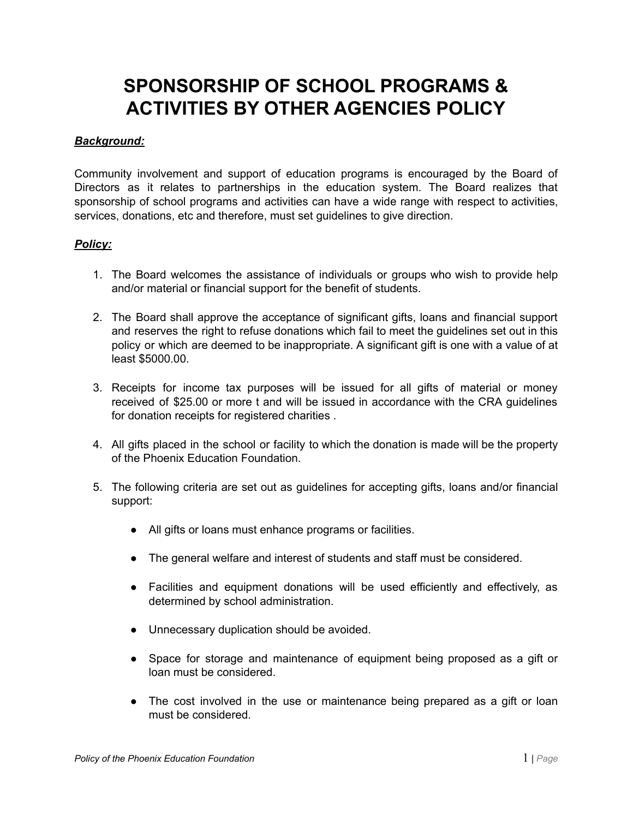## **SPONSORSHIP OF SCHOOL PROGRAMS & ACTIVITIES BY OTHER AGENCIES POLICY**

## *Background:*

Community involvement and support of education programs is encouraged by the Board of Directors as it relates to partnerships in the education system. The Board realizes that sponsorship of school programs and activities can have a wide range with respect to activities, services, donations, etc and therefore, must set guidelines to give direction.

## *Policy:*

- 1. The Board welcomes the assistance of individuals or groups who wish to provide help and/or material or financial support for the benefit of students.
- 2. The Board shall approve the acceptance of significant gifts, loans and financial support and reserves the right to refuse donations which fail to meet the guidelines set out in this policy or which are deemed to be inappropriate. A significant gift is one with a value of at least \$5000.00.
- 3. Receipts for income tax purposes will be issued for all gifts of material or money received of \$25.00 or more t and will be issued in accordance with the CRA guidelines for donation receipts for registered charities .
- 4. All gifts placed in the school or facility to which the donation is made will be the property of the Phoenix Education Foundation.
- 5. The following criteria are set out as guidelines for accepting gifts, loans and/or financial support:
	- All gifts or loans must enhance programs or facilities.
	- The general welfare and interest of students and staff must be considered.
	- Facilities and equipment donations will be used efficiently and effectively, as determined by school administration.
	- Unnecessary duplication should be avoided.
	- Space for storage and maintenance of equipment being proposed as a gift or loan must be considered.
	- The cost involved in the use or maintenance being prepared as a gift or loan must be considered.